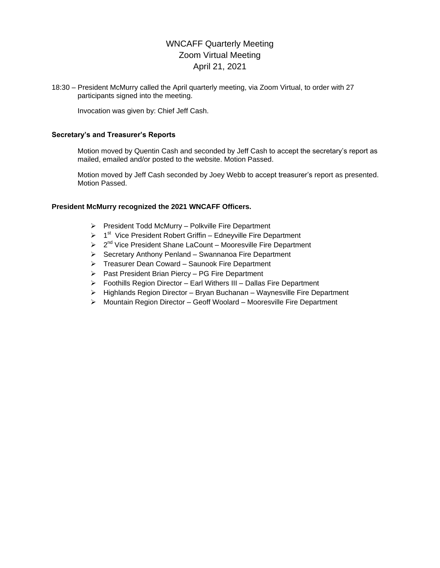# WNCAFF Quarterly Meeting Zoom Virtual Meeting April 21, 2021

18:30 – President McMurry called the April quarterly meeting, via Zoom Virtual, to order with 27 participants signed into the meeting.

Invocation was given by: Chief Jeff Cash.

#### **Secretary's and Treasurer's Reports**

Motion moved by Quentin Cash and seconded by Jeff Cash to accept the secretary's report as mailed, emailed and/or posted to the website. Motion Passed.

Motion moved by Jeff Cash seconded by Joey Webb to accept treasurer's report as presented. Motion Passed.

#### **President McMurry recognized the 2021 WNCAFF Officers.**

- $\triangleright$  President Todd McMurry Polkville Fire Department
- $\triangleright$  1<sup>st</sup> Vice President Robert Griffin Edneyville Fire Department
- > 2<sup>nd</sup> Vice President Shane LaCount Mooresville Fire Department
- $\triangleright$  Secretary Anthony Penland Swannanoa Fire Department
- Treasurer Dean Coward Saunook Fire Department
- $\triangleright$  Past President Brian Piercy PG Fire Department
- $\triangleright$  Foothills Region Director Earl Withers III Dallas Fire Department
- $\triangleright$  Highlands Region Director Bryan Buchanan Waynesville Fire Department
- Mountain Region Director Geoff Woolard Mooresville Fire Department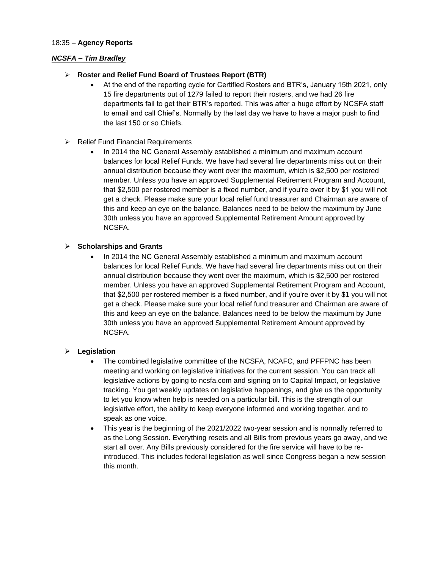#### 18:35 – **Agency Reports**

### *NCSFA – Tim Bradley*

- **Roster and Relief Fund Board of Trustees Report (BTR)**
	- At the end of the reporting cycle for Certified Rosters and BTR's, January 15th 2021, only 15 fire departments out of 1279 failed to report their rosters, and we had 26 fire departments fail to get their BTR's reported. This was after a huge effort by NCSFA staff to email and call Chief's. Normally by the last day we have to have a major push to find the last 150 or so Chiefs.
- $\triangleright$  Relief Fund Financial Requirements
	- In 2014 the NC General Assembly established a minimum and maximum account balances for local Relief Funds. We have had several fire departments miss out on their annual distribution because they went over the maximum, which is \$2,500 per rostered member. Unless you have an approved Supplemental Retirement Program and Account, that \$2,500 per rostered member is a fixed number, and if you're over it by \$1 you will not get a check. Please make sure your local relief fund treasurer and Chairman are aware of this and keep an eye on the balance. Balances need to be below the maximum by June 30th unless you have an approved Supplemental Retirement Amount approved by NCSFA.

# **Scholarships and Grants**

 In 2014 the NC General Assembly established a minimum and maximum account balances for local Relief Funds. We have had several fire departments miss out on their annual distribution because they went over the maximum, which is \$2,500 per rostered member. Unless you have an approved Supplemental Retirement Program and Account, that \$2,500 per rostered member is a fixed number, and if you're over it by \$1 you will not get a check. Please make sure your local relief fund treasurer and Chairman are aware of this and keep an eye on the balance. Balances need to be below the maximum by June 30th unless you have an approved Supplemental Retirement Amount approved by NCSFA.

# **Legislation**

- The combined legislative committee of the NCSFA, NCAFC, and PFFPNC has been meeting and working on legislative initiatives for the current session. You can track all legislative actions by going to ncsfa.com and signing on to Capital Impact, or legislative tracking. You get weekly updates on legislative happenings, and give us the opportunity to let you know when help is needed on a particular bill. This is the strength of our legislative effort, the ability to keep everyone informed and working together, and to speak as one voice.
- This year is the beginning of the 2021/2022 two-year session and is normally referred to as the Long Session. Everything resets and all Bills from previous years go away, and we start all over. Any Bills previously considered for the fire service will have to be reintroduced. This includes federal legislation as well since Congress began a new session this month.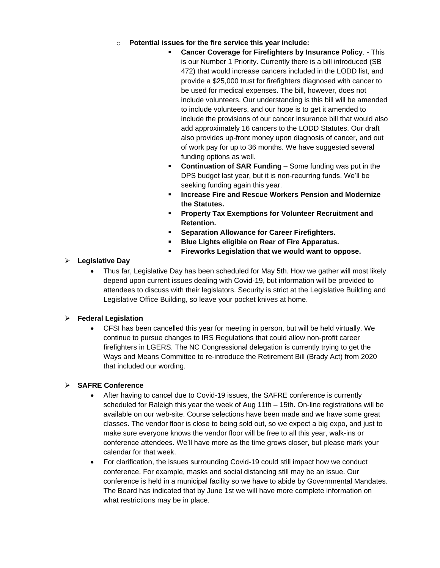- o **Potential issues for the fire service this year include:**
	- **Cancer Coverage for Firefighters by Insurance Policy**. This is our Number 1 Priority. Currently there is a bill introduced (SB 472) that would increase cancers included in the LODD list, and provide a \$25,000 trust for firefighters diagnosed with cancer to be used for medical expenses. The bill, however, does not include volunteers. Our understanding is this bill will be amended to include volunteers, and our hope is to get it amended to include the provisions of our cancer insurance bill that would also add approximately 16 cancers to the LODD Statutes. Our draft also provides up-front money upon diagnosis of cancer, and out of work pay for up to 36 months. We have suggested several funding options as well.
	- **Continuation of SAR Funding** Some funding was put in the DPS budget last year, but it is non-recurring funds. We'll be seeking funding again this year.
	- **Increase Fire and Rescue Workers Pension and Modernize the Statutes.**
	- **Property Tax Exemptions for Volunteer Recruitment and Retention.**
	- **Separation Allowance for Career Firefighters.**
	- **Blue Lights eligible on Rear of Fire Apparatus.**
	- **Fireworks Legislation that we would want to oppose.**

# **Legislative Day**

 Thus far, Legislative Day has been scheduled for May 5th. How we gather will most likely depend upon current issues dealing with Covid-19, but information will be provided to attendees to discuss with their legislators. Security is strict at the Legislative Building and Legislative Office Building, so leave your pocket knives at home.

# **Federal Legislation**

 CFSI has been cancelled this year for meeting in person, but will be held virtually. We continue to pursue changes to IRS Regulations that could allow non-profit career firefighters in LGERS. The NC Congressional delegation is currently trying to get the Ways and Means Committee to re-introduce the Retirement Bill (Brady Act) from 2020 that included our wording.

# **SAFRE Conference**

- After having to cancel due to Covid-19 issues, the SAFRE conference is currently scheduled for Raleigh this year the week of Aug 11th – 15th. On-line registrations will be available on our web-site. Course selections have been made and we have some great classes. The vendor floor is close to being sold out, so we expect a big expo, and just to make sure everyone knows the vendor floor will be free to all this year, walk-ins or conference attendees. We'll have more as the time grows closer, but please mark your calendar for that week.
- For clarification, the issues surrounding Covid-19 could still impact how we conduct conference. For example, masks and social distancing still may be an issue. Our conference is held in a municipal facility so we have to abide by Governmental Mandates. The Board has indicated that by June 1st we will have more complete information on what restrictions may be in place.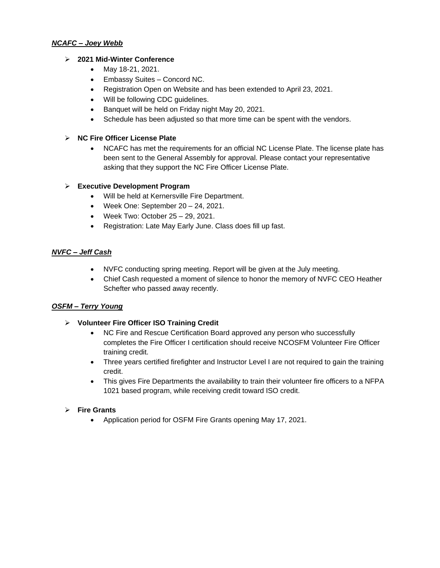#### *NCAFC – Joey Webb*

# **2021 Mid-Winter Conference**

- May 18-21, 2021.
- Embassy Suites Concord NC.
- Registration Open on Website and has been extended to April 23, 2021.
- Will be following CDC guidelines.
- Banquet will be held on Friday night May 20, 2021.
- Schedule has been adjusted so that more time can be spent with the vendors.

# **NC Fire Officer License Plate**

 NCAFC has met the requirements for an official NC License Plate. The license plate has been sent to the General Assembly for approval. Please contact your representative asking that they support the NC Fire Officer License Plate.

# **Executive Development Program**

- Will be held at Kernersville Fire Department.
- Week One: September 20 24, 2021.
- Week Two: October  $25 29$ , 2021.
- Registration: Late May Early June. Class does fill up fast.

# *NVFC – Jeff Cash*

- NVFC conducting spring meeting. Report will be given at the July meeting.
- Chief Cash requested a moment of silence to honor the memory of NVFC CEO Heather Schefter who passed away recently.

# *OSFM – Terry Young*

- **Volunteer Fire Officer ISO Training Credit**
	- NC Fire and Rescue Certification Board approved any person who successfully completes the Fire Officer I certification should receive NCOSFM Volunteer Fire Officer training credit.
	- Three years certified firefighter and Instructor Level I are not required to gain the training credit.
	- This gives Fire Departments the availability to train their volunteer fire officers to a NFPA 1021 based program, while receiving credit toward ISO credit.

# **Fire Grants**

Application period for OSFM Fire Grants opening May 17, 2021.